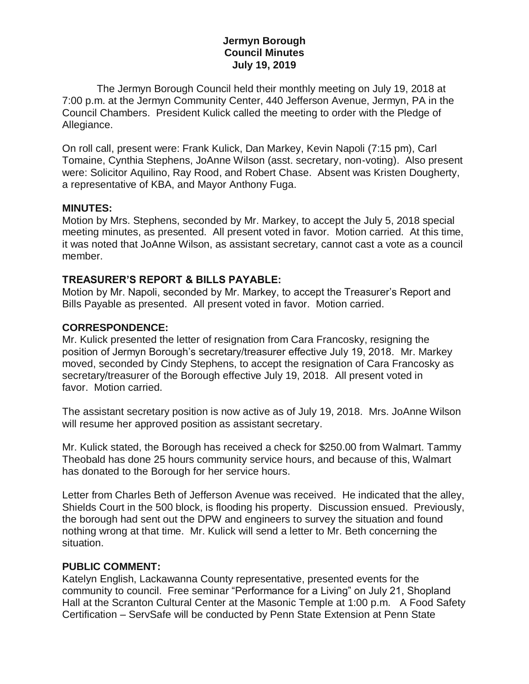# **Jermyn Borough Council Minutes July 19, 2019**

 The Jermyn Borough Council held their monthly meeting on July 19, 2018 at 7:00 p.m. at the Jermyn Community Center, 440 Jefferson Avenue, Jermyn, PA in the Council Chambers. President Kulick called the meeting to order with the Pledge of Allegiance.

On roll call, present were: Frank Kulick, Dan Markey, Kevin Napoli (7:15 pm), Carl Tomaine, Cynthia Stephens, JoAnne Wilson (asst. secretary, non-voting). Also present were: Solicitor Aquilino, Ray Rood, and Robert Chase. Absent was Kristen Dougherty, a representative of KBA, and Mayor Anthony Fuga.

### **MINUTES:**

Motion by Mrs. Stephens, seconded by Mr. Markey, to accept the July 5, 2018 special meeting minutes, as presented. All present voted in favor. Motion carried. At this time, it was noted that JoAnne Wilson, as assistant secretary, cannot cast a vote as a council member.

# **TREASURER'S REPORT & BILLS PAYABLE:**

Motion by Mr. Napoli, seconded by Mr. Markey, to accept the Treasurer's Report and Bills Payable as presented. All present voted in favor. Motion carried.

# **CORRESPONDENCE:**

Mr. Kulick presented the letter of resignation from Cara Francosky, resigning the position of Jermyn Borough's secretary/treasurer effective July 19, 2018. Mr. Markey moved, seconded by Cindy Stephens, to accept the resignation of Cara Francosky as secretary/treasurer of the Borough effective July 19, 2018. All present voted in favor. Motion carried.

The assistant secretary position is now active as of July 19, 2018. Mrs. JoAnne Wilson will resume her approved position as assistant secretary.

Mr. Kulick stated, the Borough has received a check for \$250.00 from Walmart. Tammy Theobald has done 25 hours community service hours, and because of this, Walmart has donated to the Borough for her service hours.

Letter from Charles Beth of Jefferson Avenue was received. He indicated that the alley, Shields Court in the 500 block, is flooding his property. Discussion ensued. Previously, the borough had sent out the DPW and engineers to survey the situation and found nothing wrong at that time. Mr. Kulick will send a letter to Mr. Beth concerning the situation.

#### **PUBLIC COMMENT:**

Katelyn English, Lackawanna County representative, presented events for the community to council. Free seminar "Performance for a Living" on July 21, Shopland Hall at the Scranton Cultural Center at the Masonic Temple at 1:00 p.m. A Food Safety Certification – ServSafe will be conducted by Penn State Extension at Penn State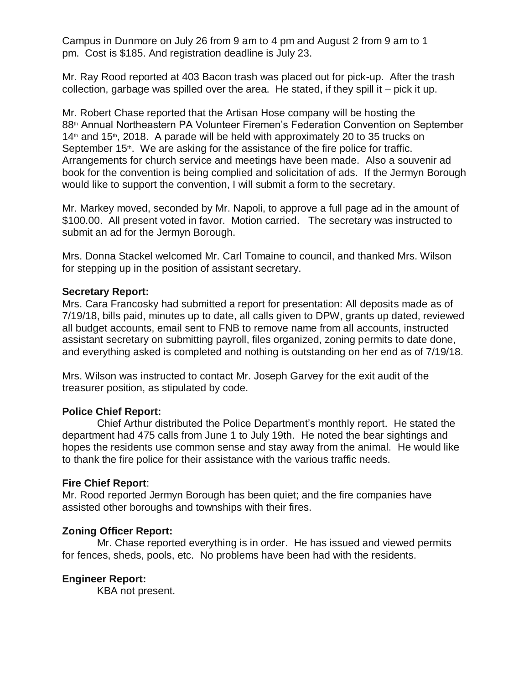Campus in Dunmore on July 26 from 9 am to 4 pm and August 2 from 9 am to 1 pm. Cost is \$185. And registration deadline is July 23.

Mr. Ray Rood reported at 403 Bacon trash was placed out for pick-up. After the trash collection, garbage was spilled over the area. He stated, if they spill it – pick it up.

Mr. Robert Chase reported that the Artisan Hose company will be hosting the 88th Annual Northeastern PA Volunteer Firemen's Federation Convention on September  $14<sup>th</sup>$  and  $15<sup>th</sup>$ , 2018. A parade will be held with approximately 20 to 35 trucks on September 15<sup>th</sup>. We are asking for the assistance of the fire police for traffic. Arrangements for church service and meetings have been made. Also a souvenir ad book for the convention is being complied and solicitation of ads. If the Jermyn Borough would like to support the convention, I will submit a form to the secretary.

Mr. Markey moved, seconded by Mr. Napoli, to approve a full page ad in the amount of \$100.00. All present voted in favor. Motion carried. The secretary was instructed to submit an ad for the Jermyn Borough.

Mrs. Donna Stackel welcomed Mr. Carl Tomaine to council, and thanked Mrs. Wilson for stepping up in the position of assistant secretary.

### **Secretary Report:**

Mrs. Cara Francosky had submitted a report for presentation: All deposits made as of 7/19/18, bills paid, minutes up to date, all calls given to DPW, grants up dated, reviewed all budget accounts, email sent to FNB to remove name from all accounts, instructed assistant secretary on submitting payroll, files organized, zoning permits to date done, and everything asked is completed and nothing is outstanding on her end as of 7/19/18.

Mrs. Wilson was instructed to contact Mr. Joseph Garvey for the exit audit of the treasurer position, as stipulated by code.

# **Police Chief Report:**

 Chief Arthur distributed the Police Department's monthly report. He stated the department had 475 calls from June 1 to July 19th. He noted the bear sightings and hopes the residents use common sense and stay away from the animal. He would like to thank the fire police for their assistance with the various traffic needs.

#### **Fire Chief Report**:

Mr. Rood reported Jermyn Borough has been quiet; and the fire companies have assisted other boroughs and townships with their fires.

#### **Zoning Officer Report:**

 Mr. Chase reported everything is in order. He has issued and viewed permits for fences, sheds, pools, etc. No problems have been had with the residents.

# **Engineer Report:**

KBA not present.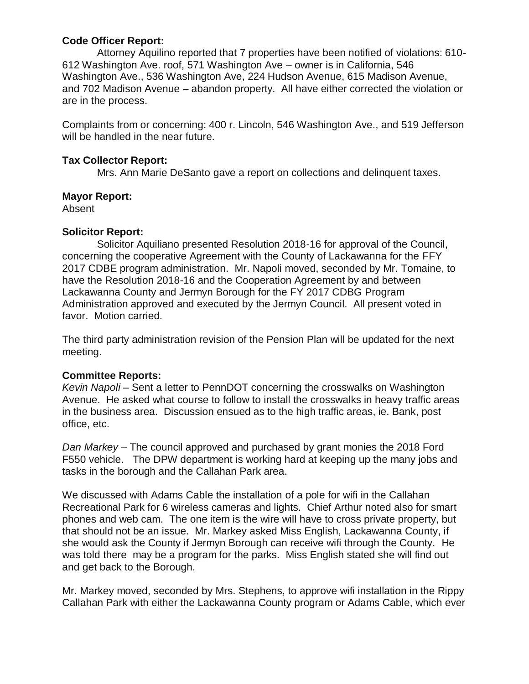# **Code Officer Report:**

 Attorney Aquilino reported that 7 properties have been notified of violations: 610- 612 Washington Ave. roof, 571 Washington Ave – owner is in California, 546 Washington Ave., 536 Washington Ave, 224 Hudson Avenue, 615 Madison Avenue, and 702 Madison Avenue – abandon property. All have either corrected the violation or are in the process.

Complaints from or concerning: 400 r. Lincoln, 546 Washington Ave., and 519 Jefferson will be handled in the near future.

# **Tax Collector Report:**

Mrs. Ann Marie DeSanto gave a report on collections and delinquent taxes.

# **Mayor Report:**

Absent

# **Solicitor Report:**

 Solicitor Aquiliano presented Resolution 2018-16 for approval of the Council, concerning the cooperative Agreement with the County of Lackawanna for the FFY 2017 CDBE program administration. Mr. Napoli moved, seconded by Mr. Tomaine, to have the Resolution 2018-16 and the Cooperation Agreement by and between Lackawanna County and Jermyn Borough for the FY 2017 CDBG Program Administration approved and executed by the Jermyn Council. All present voted in favor. Motion carried.

The third party administration revision of the Pension Plan will be updated for the next meeting.

# **Committee Reports:**

*Kevin Napoli* – Sent a letter to PennDOT concerning the crosswalks on Washington Avenue. He asked what course to follow to install the crosswalks in heavy traffic areas in the business area. Discussion ensued as to the high traffic areas, ie. Bank, post office, etc.

*Dan Markey* – The council approved and purchased by grant monies the 2018 Ford F550 vehicle. The DPW department is working hard at keeping up the many jobs and tasks in the borough and the Callahan Park area.

We discussed with Adams Cable the installation of a pole for wifi in the Callahan Recreational Park for 6 wireless cameras and lights. Chief Arthur noted also for smart phones and web cam. The one item is the wire will have to cross private property, but that should not be an issue. Mr. Markey asked Miss English, Lackawanna County, if she would ask the County if Jermyn Borough can receive wifi through the County. He was told there may be a program for the parks. Miss English stated she will find out and get back to the Borough.

Mr. Markey moved, seconded by Mrs. Stephens, to approve wifi installation in the Rippy Callahan Park with either the Lackawanna County program or Adams Cable, which ever